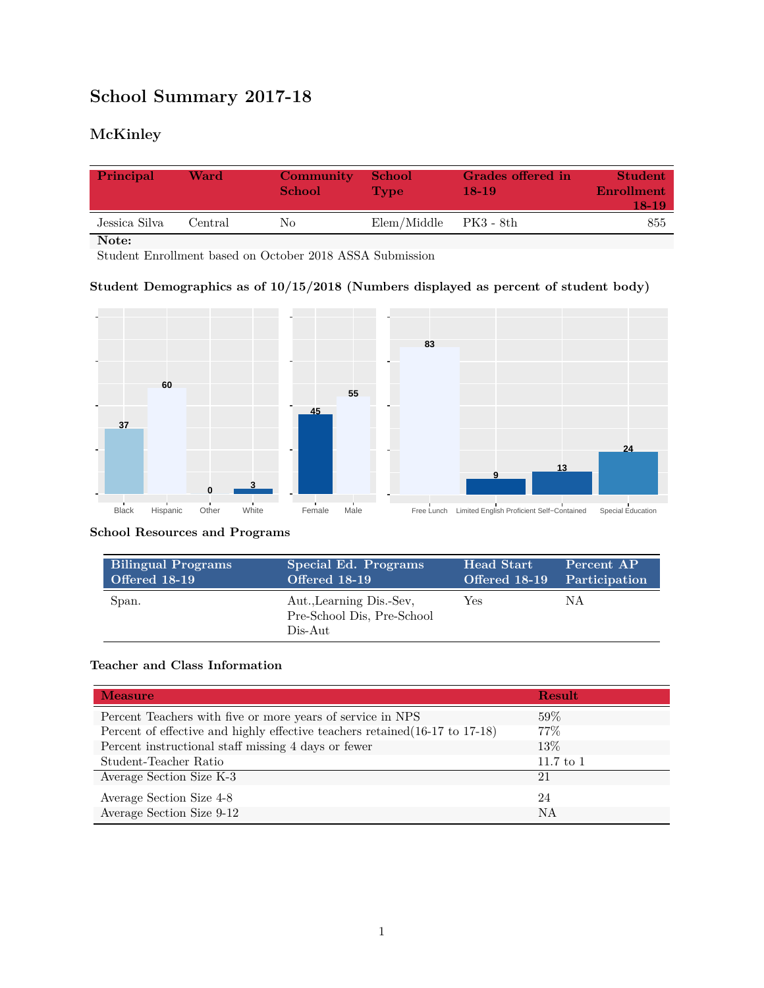# **School Summary 2017-18**

## **McKinley**

| Principal     | Ward    | Community<br><b>School</b> | <b>School</b><br><b>Type</b> | Grades offered in<br>$18-19$ | Student<br>Enrollment<br>18-19 |
|---------------|---------|----------------------------|------------------------------|------------------------------|--------------------------------|
| Jessica Silva | Central | Nο                         | Elem/Middle                  | - PK3 - 8th                  | 855                            |

**Note:**

Student Enrollment based on October 2018 ASSA Submission

#### **Student Demographics as of 10/15/2018 (Numbers displayed as percent of student body)**



#### **School Resources and Programs**

| <b>Bilingual Programs</b> | Special Ed. Programs                                              | Head Start                  | Percent AP |
|---------------------------|-------------------------------------------------------------------|-----------------------------|------------|
| <b>Offered 18-19</b>      | Offered 18-19                                                     | Offered 18-19 Participation |            |
| Span.                     | Aut., Learning Dis.-Sev.<br>Pre-School Dis, Pre-School<br>Dis-Aut | Yes                         | ΝA         |

#### **Teacher and Class Information**

| <b>Measure</b>                                                               | <b>Result</b> |
|------------------------------------------------------------------------------|---------------|
| Percent Teachers with five or more years of service in NPS                   | 59%           |
| Percent of effective and highly effective teachers retained (16-17 to 17-18) | $77\%$        |
| Percent instructional staff missing 4 days or fewer                          | 13\%          |
| Student-Teacher Ratio                                                        | $11.7$ to 1   |
| Average Section Size K-3                                                     | 21            |
| Average Section Size 4-8                                                     | 24            |
| Average Section Size 9-12                                                    | NA            |